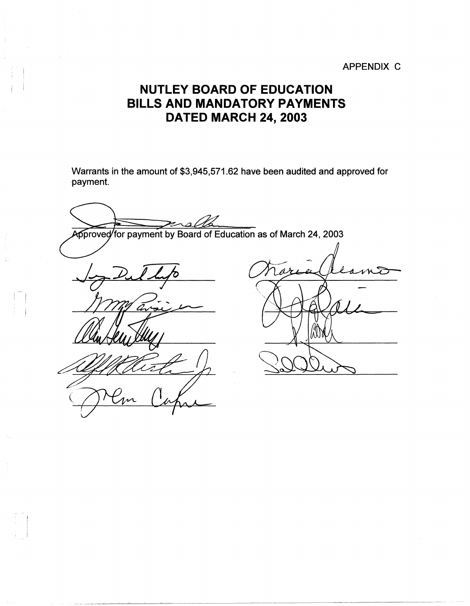## APPENDIX C

## **NUTLEY BOARD OF EDUCATION BILLS AND MANDATORY PAYMENTS DATED MARCH 24, 2003**

Warrants in the amount of \$3,945,571.62 have been audited and approved for ·payment.

Approved for payment by Board of Education as of March 24, 2003  $\bar{a}$ 

I  $\mathbb{I}$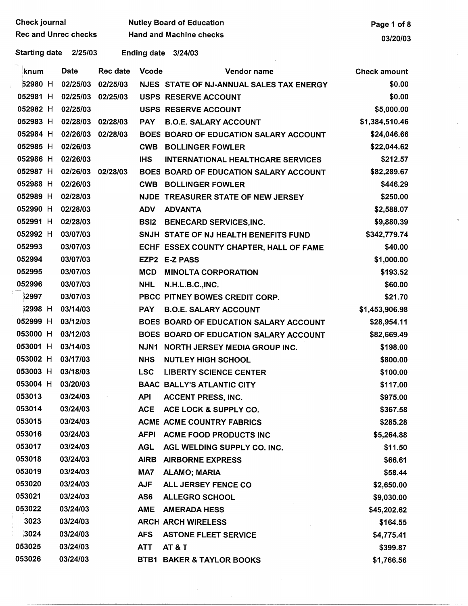| Check journal        | <b>Nutley Board of Education</b> | Page 1 of 8 |
|----------------------|----------------------------------|-------------|
| Rec and Unrec checks | <b>Hand and Machine checks</b>   | 03/20/03    |

 $\mathbf{v}$ 

 $\hat{\lambda}_{\rm{in}}$ 

 $\hat{\boldsymbol{\theta}}$ 

 $\overline{a}$ 

Starting date 2/25/03 Ending date 3/24/03

| knum           | <b>Date</b>       | <b>Rec date</b> | <b>Vcode</b> | Vendor name                              | <b>Check amount</b> |
|----------------|-------------------|-----------------|--------------|------------------------------------------|---------------------|
| 52980 H        | 02/25/03          | 02/25/03        |              | NJES STATE OF NJ-ANNUAL SALES TAX ENERGY | \$0.00              |
| 052981 H       | 02/25/03          | 02/25/03        |              | <b>USPS RESERVE ACCOUNT</b>              | \$0.00              |
| 052982 H       | 02/25/03          |                 |              | <b>USPS RESERVE ACCOUNT</b>              | \$5,000.00          |
| 052983 H       | 02/28/03          | 02/28/03        | <b>PAY</b>   | <b>B.O.E. SALARY ACCOUNT</b>             | \$1,384,510.46      |
| 052984 H       | 02/26/03          | 02/28/03        |              | BOES BOARD OF EDUCATION SALARY ACCOUNT   | \$24,046.66         |
| 052985 H       | 02/26/03          |                 | <b>CWB</b>   | <b>BOLLINGER FOWLER</b>                  | \$22,044.62         |
| 052986 H       | 02/26/03          |                 | <b>IHS</b>   | <b>INTERNATIONAL HEALTHCARE SERVICES</b> | \$212.57            |
| 052987 H       | 02/26/03 02/28/03 |                 |              | BOES BOARD OF EDUCATION SALARY ACCOUNT   | \$82,289.67         |
| 052988 H       | 02/26/03          |                 | <b>CWB</b>   | <b>BOLLINGER FOWLER</b>                  | \$446.29            |
| 052989 H       | 02/28/03          |                 |              | NJDE TREASURER STATE OF NEW JERSEY       | \$250.00            |
| 052990 H       | 02/28/03          |                 | <b>ADV</b>   | <b>ADVANTA</b>                           | \$2,588.07          |
| 052991 H       | 02/28/03          |                 | <b>BSI2</b>  | <b>BENECARD SERVICES, INC.</b>           | \$9,880.39          |
| 052992 H       | 03/07/03          |                 |              | SNJH STATE OF NJ HEALTH BENEFITS FUND    | \$342,779.74        |
| 052993         | 03/07/03          |                 |              | ECHF ESSEX COUNTY CHAPTER, HALL OF FAME  | \$40.00             |
| 052994         | 03/07/03          |                 |              | EZP2 E-Z PASS                            | \$1,000.00          |
| 052995         | 03/07/03          |                 | <b>MCD</b>   | <b>MINOLTA CORPORATION</b>               | \$193.52            |
| 052996         | 03/07/03          |                 | <b>NHL</b>   | N.H.L.B.C., INC.                         | \$60.00             |
| 32997          | 03/07/03          |                 |              | PBCC PITNEY BOWES CREDIT CORP.           | \$21.70             |
| <b>12998</b> H | 03/14/03          |                 | <b>PAY</b>   | <b>B.O.E. SALARY ACCOUNT</b>             | \$1,453,906.98      |
| 052999 H       | 03/12/03          |                 |              | BOES BOARD OF EDUCATION SALARY ACCOUNT   | \$28,954.11         |
| 053000 H       | 03/12/03          |                 |              | BOES BOARD OF EDUCATION SALARY ACCOUNT   | \$82,669.49         |
| 053001 H       | 03/14/03          |                 | NJN1         | NORTH JERSEY MEDIA GROUP INC.            | \$198.00            |
| 053002 H       | 03/17/03          |                 | <b>NHS</b>   | <b>NUTLEY HIGH SCHOOL</b>                | \$800.00            |
| 053003 H       | 03/18/03          |                 | <b>LSC</b>   | <b>LIBERTY SCIENCE CENTER</b>            | \$100.00            |
| 053004 H       | 03/20/03          |                 |              | <b>BAAC BALLY'S ATLANTIC CITY</b>        | \$117.00            |
| 053013         | 03/24/03          |                 | <b>API</b>   | <b>ACCENT PRESS, INC.</b>                | \$975.00            |
| 053014         | 03/24/03          |                 | <b>ACE</b>   | ACE LOCK & SUPPLY CO.                    | \$367.58            |
| 053015         | 03/24/03          |                 |              | <b>ACME ACME COUNTRY FABRICS</b>         | \$285.28            |
| 053016         | 03/24/03          |                 | <b>AFPI</b>  | <b>ACME FOOD PRODUCTS INC</b>            | \$5,264.88          |
| 053017         | 03/24/03          |                 | <b>AGL</b>   | AGL WELDING SUPPLY CO. INC.              | \$11.50             |
| 053018         | 03/24/03          |                 | <b>AIRB</b>  | <b>AIRBORNE EXPRESS</b>                  | \$66.61             |
| 053019         | 03/24/03          |                 | MA7          | <b>ALAMO; MARIA</b>                      | \$58.44             |
| 053020         | 03/24/03          |                 | <b>AJF</b>   | ALL JERSEY FENCE CO                      | \$2,650.00          |
| 053021         | 03/24/03          |                 | AS6          | <b>ALLEGRO SCHOOL</b>                    | \$9,030.00          |
| 053022         | 03/24/03          |                 | <b>AME</b>   | <b>AMERADA HESS</b>                      | \$45,202.62         |
| 3023           | 03/24/03          |                 |              | <b>ARCH ARCH WIRELESS</b>                | \$164.55            |
| 3024           | 03/24/03          |                 | <b>AFS</b>   | <b>ASTONE FLEET SERVICE</b>              | \$4,775.41          |
| 053025         | 03/24/03          |                 | <b>ATT</b>   | <b>AT &amp; T</b>                        | \$399.87            |
| 053026         | 03/24/03          |                 |              | <b>BTB1 BAKER &amp; TAYLOR BOOKS</b>     | \$1,766.56          |

 $\hat{\boldsymbol{\beta}}$ 

 $\bar{z}$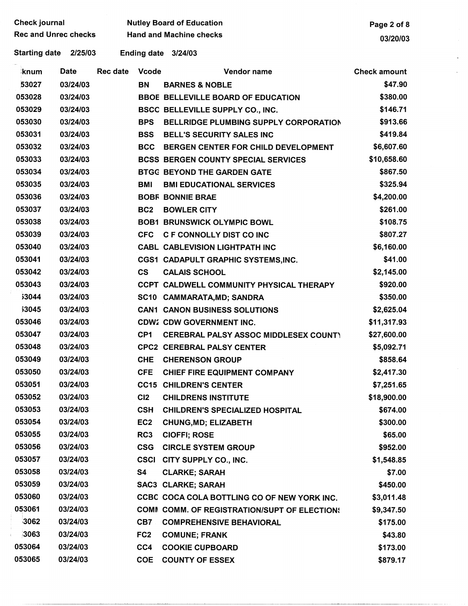| <b>Check journal</b><br><b>Nutley Board of Education</b> |                                                               | Page 2 of 8     |                 |                                              |                     |
|----------------------------------------------------------|---------------------------------------------------------------|-----------------|-----------------|----------------------------------------------|---------------------|
|                                                          | <b>Rec and Unrec checks</b><br><b>Hand and Machine checks</b> |                 |                 | 03/20/03                                     |                     |
| <b>Starting date</b>                                     | 2/25/03                                                       |                 |                 | Ending date 3/24/03                          |                     |
| <u>knum</u>                                              | <b>Date</b>                                                   | <b>Rec date</b> | <b>Vcode</b>    | Vendor name                                  | <b>Check amount</b> |
| 53027                                                    | 03/24/03                                                      |                 | <b>BN</b>       | <b>BARNES &amp; NOBLE</b>                    | \$47.90             |
| 053028                                                   | 03/24/03                                                      |                 |                 | <b>BBOE BELLEVILLE BOARD OF EDUCATION</b>    | \$380.00            |
| 053029                                                   | 03/24/03                                                      |                 |                 | BSCC BELLEVILLE SUPPLY CO., INC.             | \$146.71            |
| 053030                                                   | 03/24/03                                                      |                 | <b>BPS</b>      | <b>BELLRIDGE PLUMBING SUPPLY CORPORATION</b> | \$913.66            |
| 053031                                                   | 03/24/03                                                      |                 | <b>BSS</b>      | <b>BELL'S SECURITY SALES INC</b>             | \$419.84            |
| 053032                                                   | 03/24/03                                                      |                 | <b>BCC</b>      | BERGEN CENTER FOR CHILD DEVELOPMENT          | \$6,607.60          |
| 053033                                                   | 03/24/03                                                      |                 |                 | <b>BCSS BERGEN COUNTY SPECIAL SERVICES</b>   | \$10,658.60         |
| 053034                                                   | 03/24/03                                                      |                 |                 | <b>BTGC BEYOND THE GARDEN GATE</b>           | \$867.50            |
| 053035                                                   | 03/24/03                                                      |                 | BMI             | <b>BMI EDUCATIONAL SERVICES</b>              | \$325.94            |
| 053036                                                   | 03/24/03                                                      |                 |                 | <b>BOBF BONNIE BRAE</b>                      | \$4,200.00          |
| 053037                                                   | 03/24/03                                                      |                 | BC <sub>2</sub> | <b>BOWLER CITY</b>                           | \$261.00            |
| 053038                                                   | 03/24/03                                                      |                 |                 | <b>BOB1 BRUNSWICK OLYMPIC BOWL</b>           | \$108.75            |
| 053039                                                   | 03/24/03                                                      |                 | <b>CFC</b>      | <b>C F CONNOLLY DIST CO INC</b>              | \$807.27            |
| 053040                                                   | 03/24/03                                                      |                 |                 | <b>CABL CABLEVISION LIGHTPATH INC</b>        | \$6,160.00          |
| 053041                                                   | 03/24/03                                                      |                 |                 | CGS1 CADAPULT GRAPHIC SYSTEMS, INC.          | \$41.00             |
| 053042                                                   | 03/24/03                                                      |                 | $\mathsf{cs}$   | <b>CALAIS SCHOOL</b>                         | \$2,145.00          |
| 053043                                                   | 03/24/03                                                      |                 |                 | CCPT CALDWELL COMMUNITY PHYSICAL THERAPY     | \$920.00            |
| 53044                                                    | 03/24/03                                                      |                 |                 | SC10 CAMMARATA, MD; SANDRA                   | \$350.00            |
| 53045                                                    | 03/24/03                                                      |                 |                 | <b>CAN1 CANON BUSINESS SOLUTIONS</b>         | \$2,625.04          |
| 053046                                                   | 03/24/03                                                      |                 |                 | <b>CDW2 CDW GOVERNMENT INC.</b>              | \$11,317.93         |
| 053047                                                   | 03/24/03                                                      |                 | CP <sub>1</sub> | <b>CEREBRAL PALSY ASSOC MIDDLESEX COUNT)</b> | \$27,600.00         |
| 053048                                                   | 03/24/03                                                      |                 |                 | <b>CPC2 CEREBRAL PALSY CENTER</b>            | \$5,092.71          |
| 053049                                                   | 03/24/03                                                      |                 |                 | CHE CHERENSON GROUP                          | \$858.64            |
| 053050                                                   | 03/24/03                                                      |                 | <b>CFE</b>      | <b>CHIEF FIRE EQUIPMENT COMPANY</b>          | \$2,417.30          |
| 053051                                                   | 03/24/03                                                      |                 |                 | <b>CC15 CHILDREN'S CENTER</b>                | \$7,251.65          |
| 053052                                                   | 03/24/03                                                      |                 | C12             | <b>CHILDRENS INSTITUTE</b>                   | \$18,900.00         |
| 053053                                                   | 03/24/03                                                      |                 | <b>CSH</b>      | <b>CHILDREN'S SPECIALIZED HOSPITAL</b>       | \$674.00            |
| 053054                                                   | 03/24/03                                                      |                 | EC <sub>2</sub> | <b>CHUNG, MD; ELIZABETH</b>                  | \$300.00            |
| 053055                                                   | 03/24/03                                                      |                 | RC3             | <b>CIOFFI; ROSE</b>                          | \$65.00             |
| 053056                                                   | 03/24/03                                                      |                 | <b>CSG</b>      | <b>CIRCLE SYSTEM GROUP</b>                   | \$952.00            |
| 053057                                                   | 03/24/03                                                      |                 | <b>CSCI</b>     | CITY SUPPLY CO., INC.                        | \$1,548.85          |
| 053058                                                   | 03/24/03                                                      |                 | S4              | <b>CLARKE; SARAH</b>                         | \$7.00              |
| 053059                                                   | 03/24/03                                                      |                 |                 | <b>SAC3 CLARKE; SARAH</b>                    | \$450.00            |
| 053060                                                   | 03/24/03                                                      |                 |                 | CCBC COCA COLA BOTTLING CO OF NEW YORK INC.  | \$3,011.48          |
| 053061                                                   | 03/24/03                                                      |                 |                 | COMM COMM. OF REGISTRATION/SUPT OF ELECTION: | \$9,347.50          |
| 3062                                                     | 03/24/03                                                      |                 | CB7             | <b>COMPREHENSIVE BEHAVIORAL</b>              | \$175.00            |
| 3063                                                     | 03/24/03                                                      |                 | FC <sub>2</sub> | <b>COMUNE; FRANK</b>                         | \$43.80             |
| 053064                                                   | 03/24/03                                                      |                 | CC4             | <b>COOKIE CUPBOARD</b>                       | \$173.00            |
| 053065                                                   | 03/24/03                                                      |                 | <b>COE</b>      | <b>COUNTY OF ESSEX</b>                       | \$879.17            |

 $\mathbb{Z}^2$  $\bar{z}$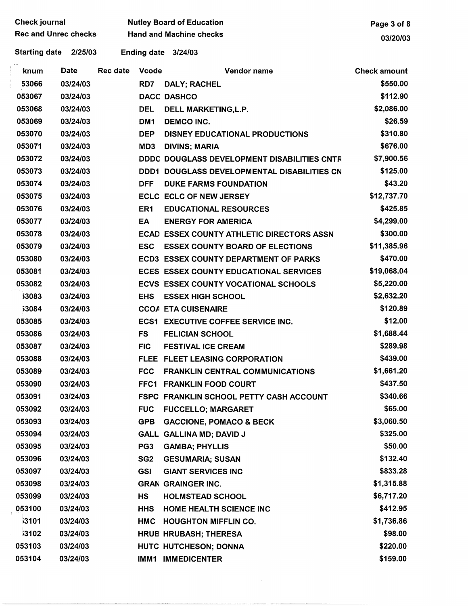| <b>Check journal</b> |                             |             | <b>Nutley Board of Education</b> | Page 3 of 8     |                                                  |                     |
|----------------------|-----------------------------|-------------|----------------------------------|-----------------|--------------------------------------------------|---------------------|
|                      | <b>Rec and Unrec checks</b> |             |                                  |                 | <b>Hand and Machine checks</b>                   | 03/20/03            |
|                      | <b>Starting date</b>        | 2/25/03     |                                  |                 | Ending date 3/24/03                              |                     |
|                      | knum                        | <b>Date</b> | Rec date                         | <b>Vcode</b>    | Vendor name                                      | <b>Check amount</b> |
|                      | 53066                       | 03/24/03    |                                  | RD7             | DALY; RACHEL                                     | \$550.00            |
|                      | 053067                      | 03/24/03    |                                  |                 | <b>DACC DASHCO</b>                               | \$112.90            |
|                      | 053068                      | 03/24/03    |                                  | <b>DEL</b>      | DELL MARKETING, L.P.                             | \$2,086.00          |
|                      | 053069                      | 03/24/03    |                                  | DM <sub>1</sub> | <b>DEMCO INC.</b>                                | \$26.59             |
|                      | 053070                      | 03/24/03    |                                  | <b>DEP</b>      | <b>DISNEY EDUCATIONAL PRODUCTIONS</b>            | \$310.80            |
|                      | 053071                      | 03/24/03    |                                  | MD3             | <b>DIVINS; MARIA</b>                             | \$676.00            |
|                      | 053072                      | 03/24/03    |                                  |                 | DDDC DOUGLASS DEVELOPMENT DISABILITIES CNTR      | \$7,900.56          |
|                      | 053073                      | 03/24/03    |                                  | DDD1            | <b>DOUGLASS DEVELOPMENTAL DISABILITIES CN</b>    | \$125.00            |
|                      | 053074                      | 03/24/03    |                                  | <b>DFF</b>      | <b>DUKE FARMS FOUNDATION</b>                     | \$43.20             |
|                      | 053075                      | 03/24/03    |                                  |                 | <b>ECLC ECLC OF NEW JERSEY</b>                   | \$12,737.70         |
|                      | 053076                      | 03/24/03    |                                  | ER <sub>1</sub> | <b>EDUCATIONAL RESOURCES</b>                     | \$425.85            |
|                      | 053077                      | 03/24/03    |                                  | EA              | <b>ENERGY FOR AMERICA</b>                        | \$4,299.00          |
|                      | 053078                      | 03/24/03    |                                  |                 | <b>ECAD ESSEX COUNTY ATHLETIC DIRECTORS ASSN</b> | \$300.00            |
|                      | 053079                      | 03/24/03    |                                  | <b>ESC</b>      | <b>ESSEX COUNTY BOARD OF ELECTIONS</b>           | \$11,385.96         |
|                      | 053080                      | 03/24/03    |                                  |                 | <b>ECD3 ESSEX COUNTY DEPARTMENT OF PARKS</b>     | \$470.00            |
|                      | 053081                      | 03/24/03    |                                  |                 | ECES ESSEX COUNTY EDUCATIONAL SERVICES           | \$19,068.04         |
|                      | 053082                      | 03/24/03    |                                  |                 | <b>ECVS ESSEX COUNTY VOCATIONAL SCHOOLS</b>      | \$5,220.00          |
|                      | <b>53083</b>                | 03/24/03    |                                  | <b>EHS</b>      | <b>ESSEX HIGH SCHOOL</b>                         | \$2,632.20          |
|                      | 53084                       | 03/24/03    |                                  |                 | <b>CCOA ETA CUISENAIRE</b>                       | \$120.89            |
|                      | 053085                      | 03/24/03    |                                  |                 | <b>ECS1 EXECUTIVE COFFEE SERVICE INC.</b>        | \$12.00             |
|                      | 053086                      | 03/24/03    |                                  | <b>FS</b>       | <b>FELICIAN SCHOOL</b>                           | \$1,688.44          |
|                      | 053087                      | 03/24/03    |                                  | <b>FIC</b>      | <b>FESTIVAL ICE CREAM</b>                        | \$289.98            |
|                      | 053088                      | 03/24/03    |                                  |                 | FLEE FLEET LEASING CORPORATION                   | \$439.00            |
|                      | 053089                      | 03/24/03    |                                  | <b>FCC</b>      | <b>FRANKLIN CENTRAL COMMUNICATIONS</b>           | \$1,661.20          |
|                      | 053090                      | 03/24/03    |                                  |                 | FFC1 FRANKLIN FOOD COURT                         | \$437.50            |
|                      | 053091                      | 03/24/03    |                                  |                 | FSPC FRANKLIN SCHOOL PETTY CASH ACCOUNT          | \$340.66            |
|                      | 053092                      | 03/24/03    |                                  | <b>FUC</b>      | <b>FUCCELLO; MARGARET</b>                        | \$65.00             |
|                      | 053093                      | 03/24/03    |                                  | <b>GPB</b>      | <b>GACCIONE, POMACO &amp; BECK</b>               | \$3,060.50          |
|                      | 053094                      | 03/24/03    |                                  |                 | GALL GALLINA MD; DAVID J                         | \$325.00            |
|                      | 053095                      | 03/24/03    |                                  | PG <sub>3</sub> | <b>GAMBA; PHYLLIS</b>                            | \$50.00             |
|                      | 053096                      | 03/24/03    |                                  | SG <sub>2</sub> | <b>GESUMARIA; SUSAN</b>                          | \$132.40            |
|                      | 053097                      | 03/24/03    |                                  | <b>GSI</b>      | <b>GIANT SERVICES INC</b>                        | \$833.28            |
|                      | 053098                      | 03/24/03    |                                  |                 | <b>GRAN GRAINGER INC.</b>                        | \$1,315.88          |
|                      | 053099                      | 03/24/03    |                                  | <b>HS</b>       | <b>HOLMSTEAD SCHOOL</b>                          | \$6,717.20          |
|                      | 053100                      | 03/24/03    |                                  | <b>HHS</b>      | HOME HEALTH SCIENCE INC                          | \$412.95            |
|                      | i3101                       | 03/24/03    |                                  | <b>HMC</b>      | <b>HOUGHTON MIFFLIN CO.</b>                      | \$1,736.86          |
|                      | 3102                        | 03/24/03    |                                  |                 | HRUB HRUBASH; THERESA                            | \$98.00             |
|                      | 053103                      | 03/24/03    |                                  |                 | HUTC HUTCHESON; DONNA                            | \$220.00            |
|                      | 053104                      | 03/24/03    |                                  |                 | IMM1 IMMEDICENTER                                | \$159.00            |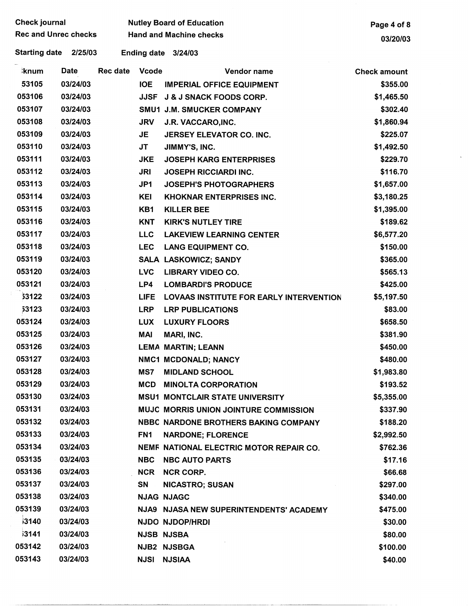| <b>Check journal</b>            |             |                 | <b>Nutley Board of Education</b> | Page 4 of 8                                 |                     |
|---------------------------------|-------------|-----------------|----------------------------------|---------------------------------------------|---------------------|
| <b>Rec and Unrec checks</b>     |             |                 | <b>Hand and Machine checks</b>   | 03/20/03                                    |                     |
| <b>Starting date</b><br>2/25/03 |             |                 | Ending date 3/24/03              |                                             |                     |
| <b>knum</b>                     | <b>Date</b> | <b>Rec date</b> | <b>Vcode</b>                     | Vendor name                                 | <b>Check amount</b> |
| 53105                           | 03/24/03    |                 | <b>IOE</b>                       | <b>IMPERIAL OFFICE EQUIPMENT</b>            | \$355.00            |
| 053106                          | 03/24/03    |                 | <b>JJSF</b>                      | <b>J &amp; J SNACK FOODS CORP.</b>          | \$1,465.50          |
| 053107                          | 03/24/03    |                 |                                  | SMU1 J.M. SMUCKER COMPANY                   | \$302.40            |
| 053108                          | 03/24/03    |                 | <b>JRV</b>                       | J.R. VACCARO, INC.                          | \$1,860.94          |
| 053109                          | 03/24/03    |                 | JE                               | JERSEY ELEVATOR CO. INC.                    | \$225.07            |
| 053110                          | 03/24/03    |                 | <b>JT</b>                        | JIMMY'S, INC.                               | \$1,492.50          |
| 053111                          | 03/24/03    |                 | <b>JKE</b>                       | <b>JOSEPH KARG ENTERPRISES</b>              | \$229.70            |
| 053112                          | 03/24/03    |                 | <b>JRI</b>                       | <b>JOSEPH RICCIARDI INC.</b>                | \$116.70            |
| 053113                          | 03/24/03    |                 | JP1                              | <b>JOSEPH'S PHOTOGRAPHERS</b>               | \$1,657.00          |
| 053114                          | 03/24/03    |                 | KEI                              | <b>KHOKNAR ENTERPRISES INC.</b>             | \$3,180.25          |
| 053115                          | 03/24/03    |                 | KB1                              | <b>KILLER BEE</b>                           | \$1,395.00          |
| 053116                          | 03/24/03    |                 | <b>KNT</b>                       | <b>KIRK'S NUTLEY TIRE</b>                   | \$189.62            |
| 053117                          | 03/24/03    |                 | <b>LLC</b>                       | <b>LAKEVIEW LEARNING CENTER</b>             | \$6,577.20          |
| 053118                          | 03/24/03    |                 | <b>LEC</b>                       | <b>LANG EQUIPMENT CO.</b>                   | \$150.00            |
| 053119                          | 03/24/03    |                 |                                  | <b>SALA LASKOWICZ; SANDY</b>                | \$365.00            |
| 053120                          | 03/24/03    |                 | <b>LVC</b>                       | <b>LIBRARY VIDEO CO.</b>                    | \$565.13            |
| 053121                          | 03/24/03    |                 | LP4                              | <b>LOMBARDI'S PRODUCE</b>                   | \$425.00            |
| 53122                           | 03/24/03    |                 | <b>LIFE</b>                      | LOVAAS INSTITUTE FOR EARLY INTERVENTION     | \$5,197.50          |
| 53123                           | 03/24/03    |                 | <b>LRP</b>                       | <b>LRP PUBLICATIONS</b>                     | \$83.00             |
| 053124                          | 03/24/03    |                 | <b>LUX</b>                       | <b>LUXURY FLOORS</b>                        | \$658.50            |
| 053125                          | 03/24/03    |                 | MAI                              | MARI, INC.                                  | \$381.90            |
| 053126                          | 03/24/03    |                 |                                  | <b>LEMA MARTIN; LEANN</b>                   | \$450.00            |
| 053127                          | 03/24/03    |                 |                                  | NMC1 MCDONALD; NANCY                        | \$480.00            |
| 053128                          | 03/24/03    |                 | MS7                              | <b>MIDLAND SCHOOL</b>                       | \$1,983.80          |
| 053129                          | 03/24/03    |                 | <b>MCD</b>                       | <b>MINOLTA CORPORATION</b>                  | \$193.52            |
| 053130                          | 03/24/03    |                 |                                  | <b>MSU1 MONTCLAIR STATE UNIVERSITY</b>      | \$5,355.00          |
| 053131                          | 03/24/03    |                 |                                  | MUJC MORRIS UNION JOINTURE COMMISSION       | \$337.90            |
| 053132                          | 03/24/03    |                 |                                  | <b>NBBC NARDONE BROTHERS BAKING COMPANY</b> | \$188.20            |
| 053133                          | 03/24/03    |                 | FN <sub>1</sub>                  | <b>NARDONE; FLORENCE</b>                    | \$2,992.50          |
| 053134                          | 03/24/03    |                 |                                  | NEMF NATIONAL ELECTRIC MOTOR REPAIR CO.     | \$762.36            |
| 053135                          | 03/24/03    |                 | <b>NBC</b>                       | <b>NBC AUTO PARTS</b>                       | \$17.16             |
| 053136                          | 03/24/03    |                 | <b>NCR</b>                       | <b>NCR CORP.</b>                            | \$66.68             |
| 053137                          | 03/24/03    |                 | SN                               | <b>NICASTRO; SUSAN</b>                      | \$297.00            |
| 053138                          | 03/24/03    |                 |                                  | <b>NJAG NJAGC</b>                           | \$340.00            |
| 053139                          | 03/24/03    |                 |                                  | NJA9 NJASA NEW SUPERINTENDENTS' ACADEMY     | \$475.00            |
| <b>j3140</b>                    | 03/24/03    |                 |                                  | NJDO NJDOP/HRDI                             | \$30.00             |
| 3141                            | 03/24/03    |                 |                                  | <b>NJSB NJSBA</b>                           | \$80.00             |
| 053142                          | 03/24/03    |                 |                                  | NJB2 NJSBGA                                 | \$100.00            |
| 053143                          | 03/24/03    |                 | <b>NJSI</b>                      | <b>NJSIAA</b>                               | \$40.00             |

 $\ddot{\phantom{0}}$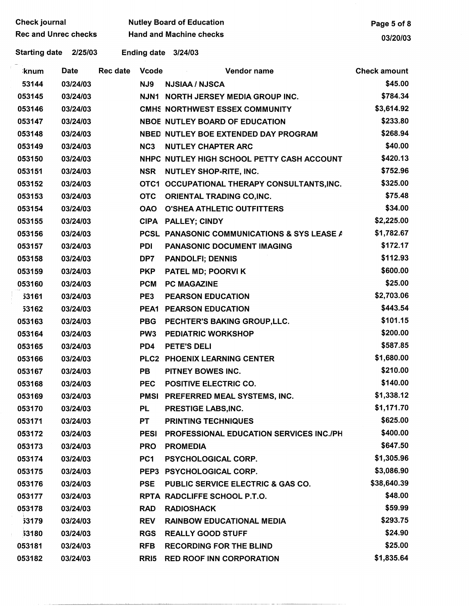| <b>Check journal</b> |                             |             | <b>Nutley Board of Education</b> | Page 5 of 8     |                                             |                     |
|----------------------|-----------------------------|-------------|----------------------------------|-----------------|---------------------------------------------|---------------------|
|                      | <b>Rec and Unrec checks</b> |             |                                  |                 | <b>Hand and Machine checks</b>              | 03/20/03            |
|                      | <b>Starting date</b>        | 2/25/03     |                                  |                 | Ending date 3/24/03                         |                     |
|                      | ∤knum                       | <b>Date</b> | <b>Rec date</b>                  | <b>Vcode</b>    | Vendor name                                 | <b>Check amount</b> |
|                      | 53144                       | 03/24/03    |                                  | NJ9             | <b>NJSIAA / NJSCA</b>                       | \$45.00             |
|                      | 053145                      | 03/24/03    |                                  |                 | NJN1 NORTH JERSEY MEDIA GROUP INC.          | \$784.34            |
|                      | 053146                      | 03/24/03    |                                  |                 | <b>CMHS NORTHWEST ESSEX COMMUNITY</b>       | \$3,614.92          |
|                      | 053147                      | 03/24/03    |                                  |                 | <b>NBOE NUTLEY BOARD OF EDUCATION</b>       | \$233.80            |
|                      | 053148                      | 03/24/03    |                                  |                 | NBED NUTLEY BOE EXTENDED DAY PROGRAM        | \$268.94            |
|                      | 053149                      | 03/24/03    |                                  | NC <sub>3</sub> | <b>NUTLEY CHAPTER ARC</b>                   | \$40.00             |
|                      | 053150                      | 03/24/03    |                                  |                 | NHPC NUTLEY HIGH SCHOOL PETTY CASH ACCOUNT  | \$420.13            |
|                      | 053151                      | 03/24/03    |                                  | <b>NSR</b>      | <b>NUTLEY SHOP-RITE, INC.</b>               | \$752.96            |
|                      | 053152                      | 03/24/03    |                                  |                 | OTC1 OCCUPATIONAL THERAPY CONSULTANTS, INC. | \$325.00            |
|                      | 053153                      | 03/24/03    |                                  | <b>OTC</b>      | <b>ORIENTAL TRADING CO, INC.</b>            | \$75.48             |
|                      | 053154                      | 03/24/03    |                                  | <b>OAO</b>      | <b>O'SHEA ATHLETIC OUTFITTERS</b>           | \$34.00             |
|                      | 053155                      | 03/24/03    |                                  |                 | CIPA PALLEY; CINDY                          | \$2,225.00          |
|                      | 053156                      | 03/24/03    |                                  |                 | PCSL PANASONIC COMMUNICATIONS & SYS LEASE A | \$1,782.67          |
|                      | 053157                      | 03/24/03    |                                  | <b>PDI</b>      | PANASONIC DOCUMENT IMAGING                  | \$172.17            |
|                      | 053158                      | 03/24/03    |                                  | DP7             | <b>PANDOLFI; DENNIS</b>                     | \$112.93            |
|                      | 053159                      | 03/24/03    |                                  | <b>PKP</b>      | PATEL MD; POORVI K                          | \$600.00            |
|                      | 053160                      | 03/24/03    |                                  | <b>PCM</b>      | <b>PC MAGAZINE</b>                          | \$25.00             |
|                      | 53161                       | 03/24/03    |                                  | PE3             | <b>PEARSON EDUCATION</b>                    | \$2,703.06          |
|                      | 53162                       | 03/24/03    |                                  |                 | PEA1 PEARSON EDUCATION                      | \$443.54            |
|                      | 053163                      | 03/24/03    |                                  | <b>PBG</b>      | PECHTER'S BAKING GROUP, LLC.                | \$101.15            |
|                      | 053164                      | 03/24/03    |                                  | PW <sub>3</sub> | <b>PEDIATRIC WORKSHOP</b>                   | \$200.00            |
|                      | 053165                      | 03/24/03    |                                  | PD4             | <b>PETE'S DELI</b>                          | \$587.85            |
|                      | 053166                      | 03/24/03    |                                  |                 | PLC2 PHOENIX LEARNING CENTER                | \$1,680.00          |
|                      | 053167                      | 03/24/03    |                                  | PB              | PITNEY BOWES INC.                           | \$210.00            |
|                      | 053168                      | 03/24/03    |                                  |                 | PEC POSITIVE ELECTRIC CO.                   | \$140.00            |
|                      | 053169                      | 03/24/03    |                                  |                 | PMSI PREFERRED MEAL SYSTEMS, INC.           | \$1,338.12          |
|                      | 053170                      | 03/24/03    |                                  | PL              | PRESTIGE LABS, INC.                         | \$1,171.70          |
|                      | 053171                      | 03/24/03    |                                  | <b>PT</b>       | <b>PRINTING TECHNIQUES</b>                  | \$625.00            |
|                      | 053172                      | 03/24/03    |                                  | <b>PESI</b>     | PROFESSIONAL EDUCATION SERVICES INC./PH     | \$400.00            |
|                      | 053173                      | 03/24/03    |                                  | <b>PRO</b>      | <b>PROMEDIA</b>                             | \$647.50            |
|                      | 053174                      | 03/24/03    |                                  | PC1             | <b>PSYCHOLOGICAL CORP.</b>                  | \$1,305.96          |
|                      | 053175                      | 03/24/03    |                                  |                 | PEP3 PSYCHOLOGICAL CORP.                    | \$3,086.90          |
|                      | 053176                      | 03/24/03    |                                  | <b>PSE</b>      | PUBLIC SERVICE ELECTRIC & GAS CO.           | \$38,640.39         |
|                      | 053177                      | 03/24/03    |                                  |                 | RPTA RADCLIFFE SCHOOL P.T.O.                | \$48.00             |
|                      | 053178                      | 03/24/03    |                                  | <b>RAD</b>      | <b>RADIOSHACK</b>                           | \$59.99             |
|                      | 53179                       | 03/24/03    |                                  | <b>REV</b>      | <b>RAINBOW EDUCATIONAL MEDIA</b>            | \$293.75            |
|                      | 53180                       | 03/24/03    |                                  | <b>RGS</b>      | <b>REALLY GOOD STUFF</b>                    | \$24.90             |
|                      | 053181                      | 03/24/03    |                                  | <b>RFB</b>      | <b>RECORDING FOR THE BLIND</b>              | \$25.00             |
|                      | 053182                      | 03/24/03    |                                  |                 | RRI5 RED ROOF INN CORPORATION               | \$1,835.64          |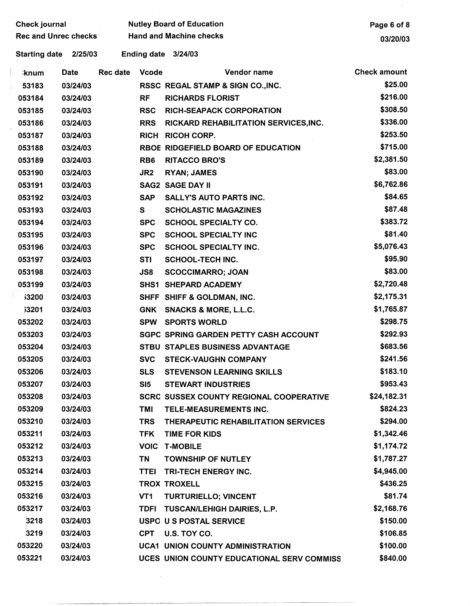| <b>Check journal</b>        |                      |             | <b>Nutley Board of Education</b> |                 |                                                |                     |  |
|-----------------------------|----------------------|-------------|----------------------------------|-----------------|------------------------------------------------|---------------------|--|
| <b>Rec and Unrec checks</b> |                      |             | <b>Hand and Machine checks</b>   |                 |                                                |                     |  |
|                             | <b>Starting date</b> | 2/25/03     |                                  |                 | Ending date 3/24/03                            |                     |  |
|                             | <b>knum</b>          | <b>Date</b> | <b>Rec date</b>                  | <b>Vcode</b>    | Vendor name                                    | <b>Check amount</b> |  |
|                             | 53183                | 03/24/03    |                                  |                 | RSSC REGAL STAMP & SIGN CO., INC.              | \$25.00             |  |
|                             | 053184               | 03/24/03    |                                  | <b>RF</b>       | <b>RICHARDS FLORIST</b>                        | \$216.00            |  |
|                             | 053185               | 03/24/03    |                                  | <b>RSC</b>      | <b>RICH-SEAPACK CORPORATION</b>                | \$308.50            |  |
|                             | 053186               | 03/24/03    |                                  | <b>RRS</b>      | RICKARD REHABILITATION SERVICES, INC.          | \$336.00            |  |
|                             | 053187               | 03/24/03    |                                  |                 | <b>RICH RICOH CORP.</b>                        | \$253.50            |  |
|                             | 053188               | 03/24/03    |                                  |                 | RBOE RIDGEFIELD BOARD OF EDUCATION             | \$715.00            |  |
|                             | 053189               | 03/24/03    |                                  | RB <sub>6</sub> | <b>RITACCO BRO'S</b>                           | \$2,381.50          |  |
|                             | 053190               | 03/24/03    |                                  | JR <sub>2</sub> | <b>RYAN; JAMES</b>                             | \$83.00             |  |
|                             | 053191               | 03/24/03    |                                  |                 | <b>SAG2 SAGE DAY II</b>                        | \$6,762.86          |  |
|                             | 053192               | 03/24/03    |                                  | <b>SAP</b>      | <b>SALLY'S AUTO PARTS INC.</b>                 | \$84.65             |  |
|                             | 053193               | 03/24/03    |                                  | S               | <b>SCHOLASTIC MAGAZINES</b>                    | \$87.48             |  |
|                             | 053194               | 03/24/03    |                                  | <b>SPC</b>      | <b>SCHOOL SPECIALTY CO.</b>                    | \$383.72            |  |
|                             | 053195               | 03/24/03    |                                  | <b>SPC</b>      | <b>SCHOOL SPECIALTY INC</b>                    | \$81.40             |  |
|                             | 053196               | 03/24/03    |                                  | <b>SPC</b>      | <b>SCHOOL SPECIALTY INC.</b>                   | \$5,076.43          |  |
|                             | 053197               | 03/24/03    |                                  | <b>STI</b>      | <b>SCHOOL-TECH INC.</b>                        | \$95.90             |  |
|                             | 053198               | 03/24/03    |                                  | JS8             | <b>SCOCCIMARRO; JOAN</b>                       | \$83.00             |  |
|                             | 053199               | 03/24/03    |                                  |                 | SHS1 SHEPARD ACADEMY                           | \$2,720.48          |  |
|                             | <b>i3200</b>         | 03/24/03    |                                  |                 | SHFF SHIFF & GOLDMAN, INC.                     | \$2,175.31          |  |
|                             | <b>j3201</b>         | 03/24/03    |                                  | <b>GNK</b>      | <b>SNACKS &amp; MORE, L.L.C.</b>               | \$1,765.87          |  |
|                             | 053202               | 03/24/03    |                                  | <b>SPW</b>      | <b>SPORTS WORLD</b>                            | \$298.75            |  |
|                             | 053203               | 03/24/03    |                                  |                 | <b>SGPC SPRING GARDEN PETTY CASH ACCOUNT</b>   | \$292.93            |  |
|                             | 053204               | 03/24/03    |                                  |                 | STBU STAPLES BUSINESS ADVANTAGE                | \$683.56            |  |
|                             | 053205               | 03/24/03    |                                  |                 | SVC STECK-VAUGHN COMPANY                       | \$241.56            |  |
|                             | 053206               | 03/24/03    |                                  |                 | <b>SLS STEVENSON LEARNING SKILLS</b>           | \$183.10            |  |
|                             | 053207               | 03/24/03    |                                  | SI5             | <b>STEWART INDUSTRIES</b>                      | \$953.43            |  |
|                             | 053208               | 03/24/03    |                                  |                 | <b>SCRC SUSSEX COUNTY REGIONAL COOPERATIVE</b> | \$24,182.31         |  |
|                             | 053209               | 03/24/03    |                                  | TMI             | TELE-MEASUREMENTS INC.                         | \$824.23            |  |
|                             | 053210               | 03/24/03    |                                  | <b>TRS</b>      | THERAPEUTIC REHABILITATION SERVICES            | \$294.00            |  |
|                             | 053211               | 03/24/03    |                                  | <b>TFK</b>      | <b>TIME FOR KIDS</b>                           | \$1,342.46          |  |
|                             | 053212               | 03/24/03    |                                  |                 | <b>VOIC T-MOBILE</b>                           | \$1,174.72          |  |
|                             | 053213               | 03/24/03    |                                  | <b>TN</b>       | <b>TOWNSHIP OF NUTLEY</b>                      | \$1,787.27          |  |
|                             | 053214               | 03/24/03    |                                  |                 | TTEI TRI-TECH ENERGY INC.                      | \$4,945.00          |  |
|                             | 053215               | 03/24/03    |                                  |                 | <b>TROX TROXELL</b>                            | \$436.25            |  |
|                             | 053216               | 03/24/03    |                                  | VT1             | TURTURIELLO; VINCENT                           | \$81.74             |  |
|                             | 053217               | 03/24/03    |                                  |                 | TDFI TUSCAN/LEHIGH DAIRIES, L.P.               | \$2,168.76          |  |
|                             | 3218                 | 03/24/03    |                                  |                 | USPO U S POSTAL SERVICE                        | \$150.00            |  |
|                             | 3219                 | 03/24/03    |                                  |                 | CPT U.S. TOY CO.                               | \$106.85            |  |
|                             | 053220               | 03/24/03    |                                  |                 | <b>UCA1 UNION COUNTY ADMINISTRATION</b>        | \$100.00            |  |
|                             | 053221               | 03/24/03    |                                  |                 | UCES UNION COUNTY EDUCATIONAL SERV COMMISS     | \$840.00            |  |

 $\mathcal{L}^{\text{max}}_{\text{max}}$ 

 $\hat{\boldsymbol{\theta}}$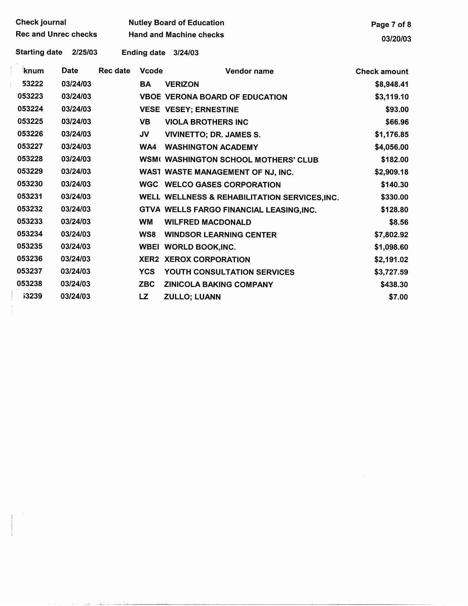| <b>Check journal</b>        |             |                 | <b>Nutley Board of Education</b> | Page 7 of 8                                   |                     |
|-----------------------------|-------------|-----------------|----------------------------------|-----------------------------------------------|---------------------|
| <b>Rec and Unrec checks</b> |             |                 | <b>Hand and Machine checks</b>   | 03/20/03                                      |                     |
| <b>Starting date</b>        | 2/25/03     |                 |                                  | Ending date 3/24/03                           |                     |
| knum                        | <b>Date</b> | <b>Rec date</b> | <b>Vcode</b>                     | Vendor name                                   | <b>Check amount</b> |
| 53222                       | 03/24/03    |                 | <b>BA</b>                        | <b>VERIZON</b>                                | \$8,948.41          |
| 053223                      | 03/24/03    |                 |                                  | <b>VBOE VERONA BOARD OF EDUCATION</b>         | \$3,119.10          |
| 053224                      | 03/24/03    |                 |                                  | <b>VESE VESEY; ERNESTINE</b>                  | \$93.00             |
| 053225                      | 03/24/03    |                 | <b>VB</b>                        | <b>VIOLA BROTHERS INC</b>                     | \$66.96             |
| 053226                      | 03/24/03    |                 | JV                               | <b>VIVINETTO; DR. JAMES S.</b>                | \$1,176.85          |
| 053227                      | 03/24/03    |                 | WA4                              | <b>WASHINGTON ACADEMY</b>                     | \$4,056.00          |
| 053228                      | 03/24/03    |                 |                                  | <b>WSM( WASHINGTON SCHOOL MOTHERS' CLUB</b>   | \$182.00            |
| 053229                      | 03/24/03    |                 |                                  | WAST WASTE MANAGEMENT OF NJ, INC.             | \$2,909.18          |
| 053230                      | 03/24/03    |                 |                                  | <b>WGC WELCO GASES CORPORATION</b>            | \$140.30            |
| 053231                      | 03/24/03    |                 |                                  | WELL WELLNESS & REHABILITATION SERVICES, INC. | \$330.00            |
| 053232                      | 03/24/03    |                 |                                  | GTVA WELLS FARGO FINANCIAL LEASING, INC.      | \$128.80            |
| 053233                      | 03/24/03    |                 | <b>WM</b>                        | <b>WILFRED MACDONALD</b>                      | \$8.56              |
| 053234                      | 03/24/03    |                 | WS8                              | <b>WINDSOR LEARNING CENTER</b>                | \$7,802.92          |
| 053235                      | 03/24/03    |                 |                                  | <b>WBEI WORLD BOOK, INC.</b>                  | \$1,098.60          |
| 053236                      | 03/24/03    |                 |                                  | <b>XER2 XEROX CORPORATION</b>                 | \$2,191.02          |
| 053237                      | 03/24/03    |                 | <b>YCS</b>                       | YOUTH CONSULTATION SERVICES                   | \$3,727.59          |
| 053238                      | 03/24/03    |                 | <b>ZBC</b>                       | <b>ZINICOLA BAKING COMPANY</b>                | \$438.30            |
| <b>i3239</b>                | 03/24/03    |                 | LZ                               | <b>ZULLO; LUANN</b>                           | \$7.00              |
|                             |             |                 |                                  |                                               |                     |
|                             |             |                 |                                  |                                               |                     |